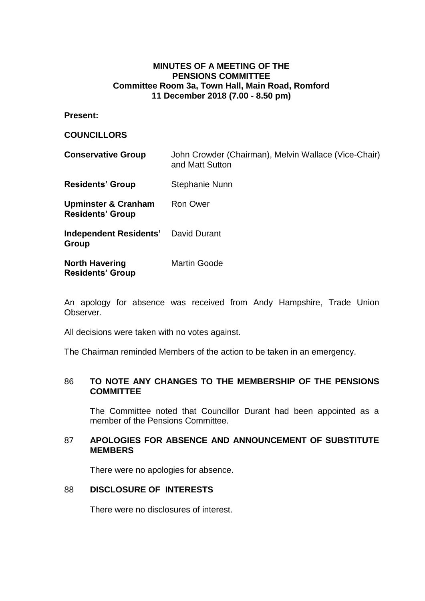## **MINUTES OF A MEETING OF THE PENSIONS COMMITTEE Committee Room 3a, Town Hall, Main Road, Romford 11 December 2018 (7.00 - 8.50 pm)**

**Present:**

### **COUNCILLORS**

| <b>Conservative Group</b>                                 | John Crowder (Chairman), Melvin Wallace (Vice-Chair)<br>and Matt Sutton |
|-----------------------------------------------------------|-------------------------------------------------------------------------|
| <b>Residents' Group</b>                                   | Stephanie Nunn                                                          |
| <b>Upminster &amp; Cranham</b><br><b>Residents' Group</b> | <b>Ron Ower</b>                                                         |
| <b>Independent Residents'</b> David Durant<br>Group       |                                                                         |
| <b>North Havering</b><br><b>Residents' Group</b>          | <b>Martin Goode</b>                                                     |

An apology for absence was received from Andy Hampshire, Trade Union Observer.

All decisions were taken with no votes against.

The Chairman reminded Members of the action to be taken in an emergency.

## 86 **TO NOTE ANY CHANGES TO THE MEMBERSHIP OF THE PENSIONS COMMITTEE**

The Committee noted that Councillor Durant had been appointed as a member of the Pensions Committee.

### 87 **APOLOGIES FOR ABSENCE AND ANNOUNCEMENT OF SUBSTITUTE MEMBERS**

There were no apologies for absence.

# 88 **DISCLOSURE OF INTERESTS**

There were no disclosures of interest.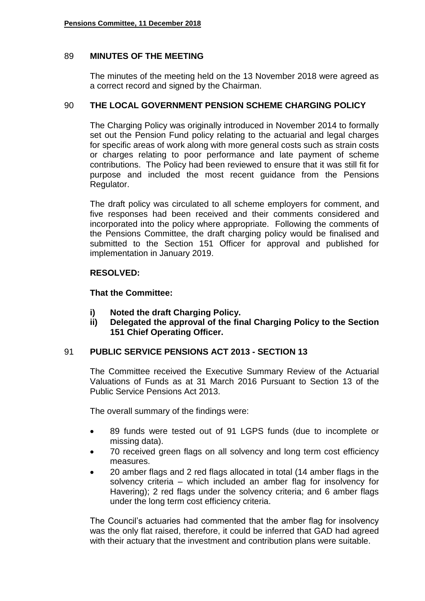# 89 **MINUTES OF THE MEETING**

The minutes of the meeting held on the 13 November 2018 were agreed as a correct record and signed by the Chairman.

# 90 **THE LOCAL GOVERNMENT PENSION SCHEME CHARGING POLICY**

The Charging Policy was originally introduced in November 2014 to formally set out the Pension Fund policy relating to the actuarial and legal charges for specific areas of work along with more general costs such as strain costs or charges relating to poor performance and late payment of scheme contributions. The Policy had been reviewed to ensure that it was still fit for purpose and included the most recent guidance from the Pensions Regulator.

The draft policy was circulated to all scheme employers for comment, and five responses had been received and their comments considered and incorporated into the policy where appropriate. Following the comments of the Pensions Committee, the draft charging policy would be finalised and submitted to the Section 151 Officer for approval and published for implementation in January 2019.

## **RESOLVED:**

**That the Committee:**

- **i) Noted the draft Charging Policy.**
- **ii) Delegated the approval of the final Charging Policy to the Section 151 Chief Operating Officer.**

# 91 **PUBLIC SERVICE PENSIONS ACT 2013 - SECTION 13**

The Committee received the Executive Summary Review of the Actuarial Valuations of Funds as at 31 March 2016 Pursuant to Section 13 of the Public Service Pensions Act 2013.

The overall summary of the findings were:

- 89 funds were tested out of 91 LGPS funds (due to incomplete or missing data).
- 70 received green flags on all solvency and long term cost efficiency measures.
- 20 amber flags and 2 red flags allocated in total (14 amber flags in the solvency criteria – which included an amber flag for insolvency for Havering); 2 red flags under the solvency criteria; and 6 amber flags under the long term cost efficiency criteria.

The Council's actuaries had commented that the amber flag for insolvency was the only flat raised, therefore, it could be inferred that GAD had agreed with their actuary that the investment and contribution plans were suitable.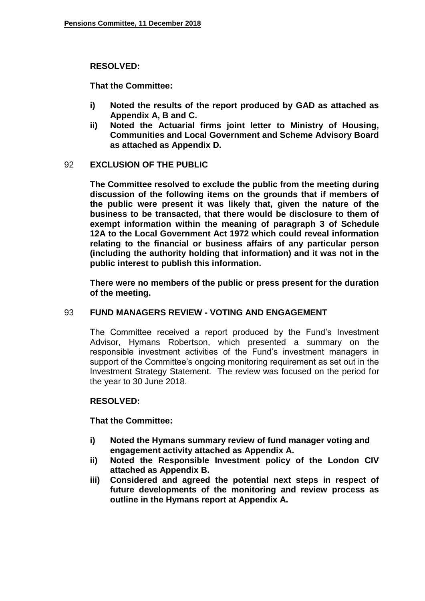### **RESOLVED:**

**That the Committee:**

- **i) Noted the results of the report produced by GAD as attached as Appendix A, B and C.**
- **ii) Noted the Actuarial firms joint letter to Ministry of Housing, Communities and Local Government and Scheme Advisory Board as attached as Appendix D.**

## 92 **EXCLUSION OF THE PUBLIC**

**The Committee resolved to exclude the public from the meeting during discussion of the following items on the grounds that if members of the public were present it was likely that, given the nature of the business to be transacted, that there would be disclosure to them of exempt information within the meaning of paragraph 3 of Schedule 12A to the Local Government Act 1972 which could reveal information relating to the financial or business affairs of any particular person (including the authority holding that information) and it was not in the public interest to publish this information.**

**There were no members of the public or press present for the duration of the meeting.**

# 93 **FUND MANAGERS REVIEW - VOTING AND ENGAGEMENT**

The Committee received a report produced by the Fund's Investment Advisor, Hymans Robertson, which presented a summary on the responsible investment activities of the Fund's investment managers in support of the Committee's ongoing monitoring requirement as set out in the Investment Strategy Statement. The review was focused on the period for the year to 30 June 2018.

#### **RESOLVED:**

**That the Committee:**

- **i) Noted the Hymans summary review of fund manager voting and engagement activity attached as Appendix A.**
- **ii) Noted the Responsible Investment policy of the London CIV attached as Appendix B.**
- **iii) Considered and agreed the potential next steps in respect of future developments of the monitoring and review process as outline in the Hymans report at Appendix A.**